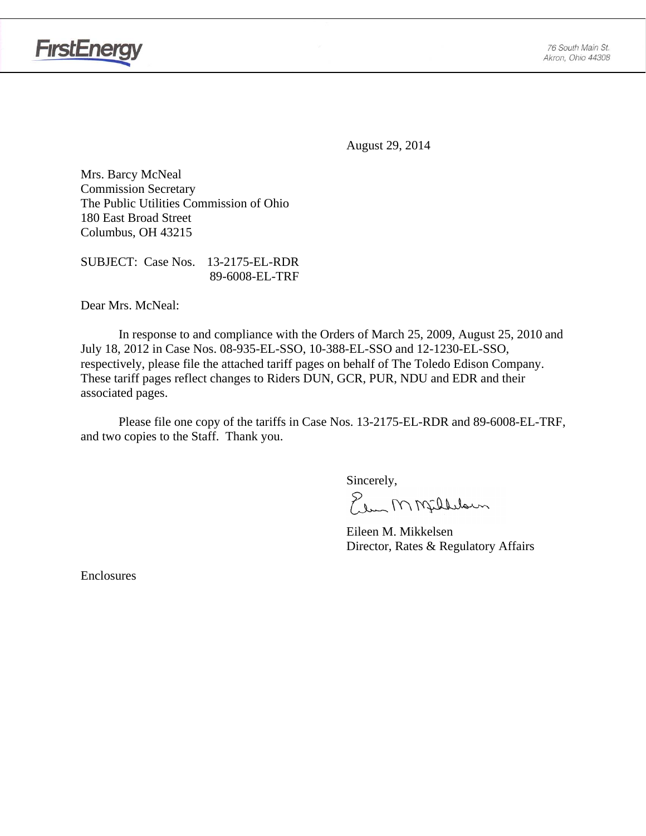

August 29, 2014

Mrs. Barcy McNeal Commission Secretary The Public Utilities Commission of Ohio 180 East Broad Street Columbus, OH 43215

SUBJECT: Case Nos. 13-2175-EL-RDR 89-6008-EL-TRF

Dear Mrs. McNeal:

 In response to and compliance with the Orders of March 25, 2009, August 25, 2010 and July 18, 2012 in Case Nos. 08-935-EL-SSO, 10-388-EL-SSO and 12-1230-EL-SSO, respectively, please file the attached tariff pages on behalf of The Toledo Edison Company. These tariff pages reflect changes to Riders DUN, GCR, PUR, NDU and EDR and their associated pages.

Please file one copy of the tariffs in Case Nos. 13-2175-EL-RDR and 89-6008-EL-TRF, and two copies to the Staff. Thank you.

Sincerely,

Elem M Milleloun

 Eileen M. Mikkelsen Director, Rates & Regulatory Affairs

Enclosures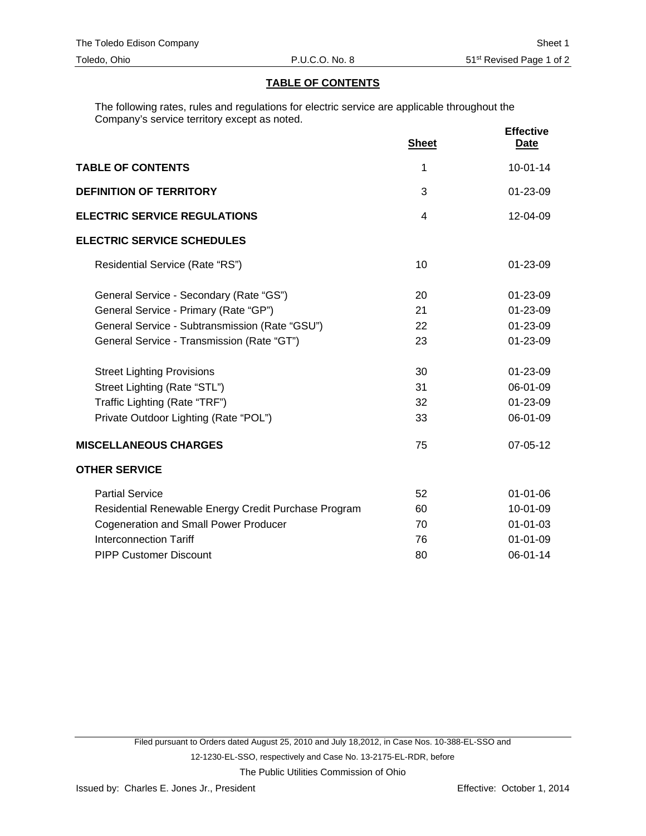### **TABLE OF CONTENTS**

The following rates, rules and regulations for electric service are applicable throughout the Company's service territory except as noted.

|                                                      | <b>Sheet</b>   | <b>Effective</b><br><b>Date</b> |
|------------------------------------------------------|----------------|---------------------------------|
| <b>TABLE OF CONTENTS</b>                             | 1              | $10-01-14$                      |
| <b>DEFINITION OF TERRITORY</b>                       | 3              | $01 - 23 - 09$                  |
| <b>ELECTRIC SERVICE REGULATIONS</b>                  | $\overline{4}$ | 12-04-09                        |
| <b>ELECTRIC SERVICE SCHEDULES</b>                    |                |                                 |
| Residential Service (Rate "RS")                      | 10             | $01 - 23 - 09$                  |
| General Service - Secondary (Rate "GS")              | 20             | 01-23-09                        |
| General Service - Primary (Rate "GP")                | 21             | 01-23-09                        |
| General Service - Subtransmission (Rate "GSU")       | 22             | 01-23-09                        |
| General Service - Transmission (Rate "GT")           | 23             | 01-23-09                        |
| <b>Street Lighting Provisions</b>                    | 30             | 01-23-09                        |
| Street Lighting (Rate "STL")                         | 31             | 06-01-09                        |
| Traffic Lighting (Rate "TRF")                        | 32             | 01-23-09                        |
| Private Outdoor Lighting (Rate "POL")                | 33             | 06-01-09                        |
| <b>MISCELLANEOUS CHARGES</b>                         | 75             | 07-05-12                        |
| <b>OTHER SERVICE</b>                                 |                |                                 |
| <b>Partial Service</b>                               | 52             | $01 - 01 - 06$                  |
| Residential Renewable Energy Credit Purchase Program | 60             | 10-01-09                        |
| <b>Cogeneration and Small Power Producer</b>         | 70             | $01 - 01 - 03$                  |
| <b>Interconnection Tariff</b>                        | 76             | $01 - 01 - 09$                  |
| <b>PIPP Customer Discount</b>                        | 80             | 06-01-14                        |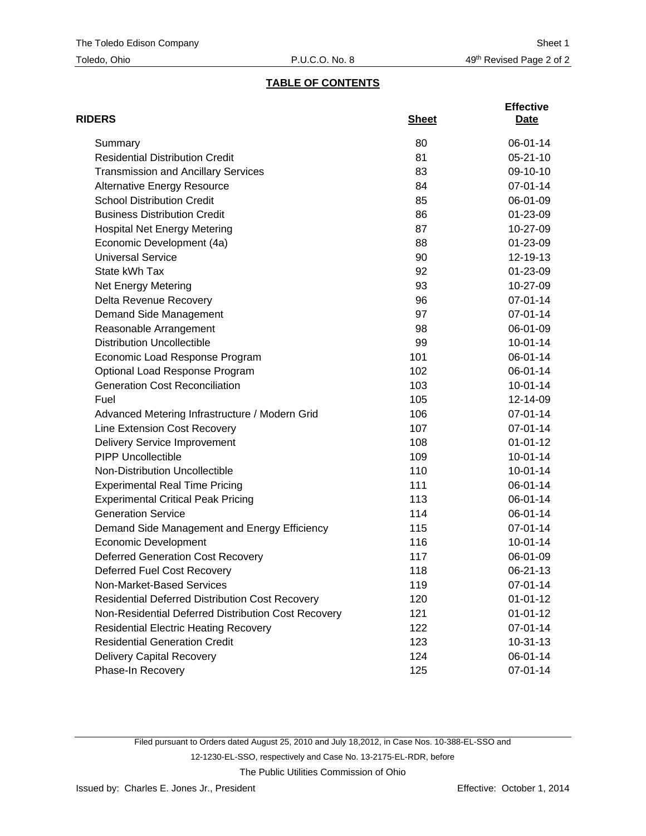## **TABLE OF CONTENTS**

| <b>RIDERS</b>                                          | <b>Sheet</b> | <b>Effective</b><br>Date |
|--------------------------------------------------------|--------------|--------------------------|
| Summary                                                | 80           | 06-01-14                 |
| <b>Residential Distribution Credit</b>                 | 81           | $05 - 21 - 10$           |
| <b>Transmission and Ancillary Services</b>             | 83           | 09-10-10                 |
| <b>Alternative Energy Resource</b>                     | 84           | 07-01-14                 |
| <b>School Distribution Credit</b>                      | 85           | 06-01-09                 |
| <b>Business Distribution Credit</b>                    | 86           | 01-23-09                 |
| <b>Hospital Net Energy Metering</b>                    | 87           | 10-27-09                 |
| Economic Development (4a)                              | 88           | 01-23-09                 |
| <b>Universal Service</b>                               | 90           | 12-19-13                 |
| State kWh Tax                                          | 92           | 01-23-09                 |
| Net Energy Metering                                    | 93           | 10-27-09                 |
| Delta Revenue Recovery                                 | 96           | 07-01-14                 |
| Demand Side Management                                 | 97           | 07-01-14                 |
| Reasonable Arrangement                                 | 98           | 06-01-09                 |
| <b>Distribution Uncollectible</b>                      | 99           | $10 - 01 - 14$           |
| Economic Load Response Program                         | 101          | 06-01-14                 |
| Optional Load Response Program                         | 102          | 06-01-14                 |
| <b>Generation Cost Reconciliation</b>                  | 103          | $10 - 01 - 14$           |
| Fuel                                                   | 105          | 12-14-09                 |
| Advanced Metering Infrastructure / Modern Grid         | 106          | 07-01-14                 |
| Line Extension Cost Recovery                           | 107          | 07-01-14                 |
| <b>Delivery Service Improvement</b>                    | 108          | $01 - 01 - 12$           |
| <b>PIPP Uncollectible</b>                              | 109          | $10 - 01 - 14$           |
| Non-Distribution Uncollectible                         | 110          | $10 - 01 - 14$           |
| <b>Experimental Real Time Pricing</b>                  | 111          | 06-01-14                 |
| <b>Experimental Critical Peak Pricing</b>              | 113          | 06-01-14                 |
| <b>Generation Service</b>                              | 114          | 06-01-14                 |
| Demand Side Management and Energy Efficiency           | 115          | 07-01-14                 |
| <b>Economic Development</b>                            | 116          | $10 - 01 - 14$           |
| <b>Deferred Generation Cost Recovery</b>               | 117          | 06-01-09                 |
| Deferred Fuel Cost Recovery                            | 118          | 06-21-13                 |
| Non-Market-Based Services                              | 119          | 07-01-14                 |
| <b>Residential Deferred Distribution Cost Recovery</b> | 120          | $01 - 01 - 12$           |
| Non-Residential Deferred Distribution Cost Recovery    | 121          | $01 - 01 - 12$           |
| <b>Residential Electric Heating Recovery</b>           | 122          | 07-01-14                 |
| <b>Residential Generation Credit</b>                   | 123          | $10-31-13$               |
| Delivery Capital Recovery                              | 124          | 06-01-14                 |
| Phase-In Recovery                                      | 125          | 07-01-14                 |

Filed pursuant to Orders dated August 25, 2010 and July 18,2012, in Case Nos. 10-388-EL-SSO and 12-1230-EL-SSO, respectively and Case No. 13-2175-EL-RDR, before The Public Utilities Commission of Ohio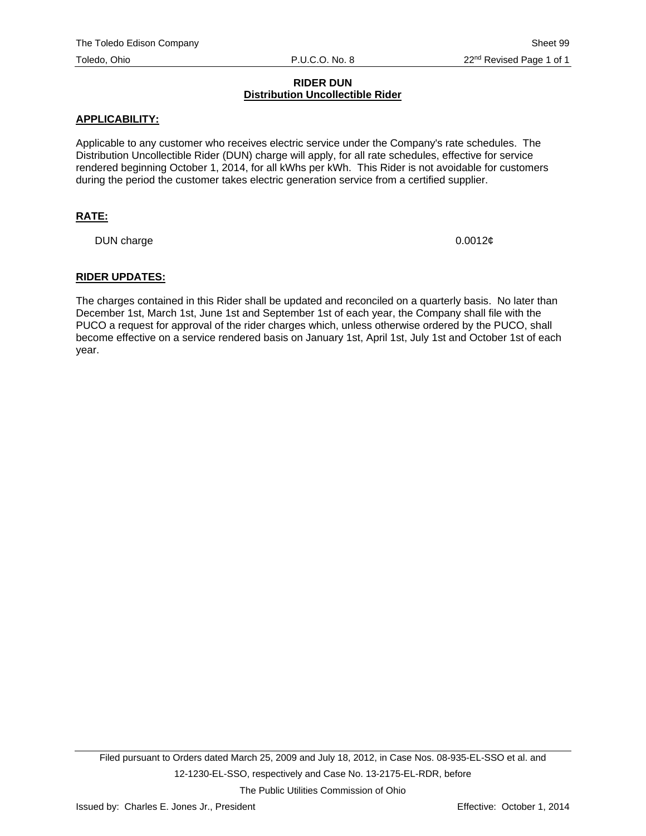#### **RIDER DUN Distribution Uncollectible Rider**

#### **APPLICABILITY:**

Applicable to any customer who receives electric service under the Company's rate schedules. The Distribution Uncollectible Rider (DUN) charge will apply, for all rate schedules, effective for service rendered beginning October 1, 2014, for all kWhs per kWh. This Rider is not avoidable for customers during the period the customer takes electric generation service from a certified supplier.

#### **RATE:**

DUN charge 0.0012¢

#### **RIDER UPDATES:**

The charges contained in this Rider shall be updated and reconciled on a quarterly basis. No later than December 1st, March 1st, June 1st and September 1st of each year, the Company shall file with the PUCO a request for approval of the rider charges which, unless otherwise ordered by the PUCO, shall become effective on a service rendered basis on January 1st, April 1st, July 1st and October 1st of each year.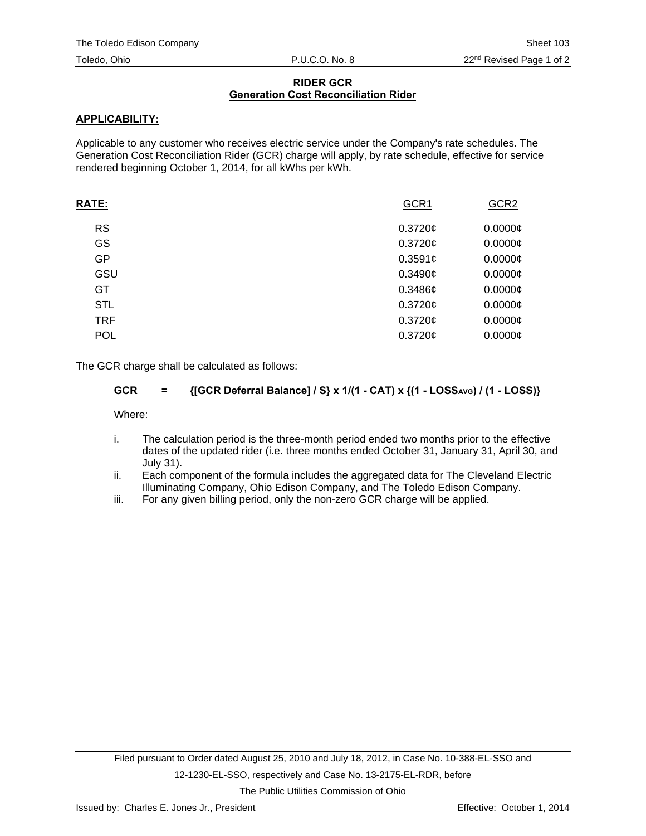### **RIDER GCR Generation Cost Reconciliation Rider**

## **APPLICABILITY:**

Applicable to any customer who receives electric service under the Company's rate schedules. The Generation Cost Reconciliation Rider (GCR) charge will apply, by rate schedule, effective for service rendered beginning October 1, 2014, for all kWhs per kWh.

| RATE:      | GCR1       | GCR <sub>2</sub>    |
|------------|------------|---------------------|
| <b>RS</b>  | $0.3720$ ¢ | $0.0000\mathcal{C}$ |
| GS         | 0.3720¢    | $0.0000$ ¢          |
| GP         | 0.3591c    | $0.0000$ ¢          |
| GSU        | 0.3490c    | $0.0000$ ¢          |
| GT         | 0.3486c    | $0.0000$ ¢          |
| <b>STL</b> | $0.3720$ ¢ | $0.0000$ ¢          |
| <b>TRF</b> | 0.3720c    | $0.0000$ ¢          |
| <b>POL</b> | 0.3720¢    | $0.0000$ ¢          |
|            |            |                     |

The GCR charge shall be calculated as follows:

## GCR = {[GCR Deferral Balance] / S} x 1/(1 - CAT) x {(1 - LOSS<sub>AVG</sub>) / (1 - LOSS)}

Where:

- i. The calculation period is the three-month period ended two months prior to the effective dates of the updated rider (i.e. three months ended October 31, January 31, April 30, and July 31).
- ii. Each component of the formula includes the aggregated data for The Cleveland Electric Illuminating Company, Ohio Edison Company, and The Toledo Edison Company.
- iii. For any given billing period, only the non-zero GCR charge will be applied.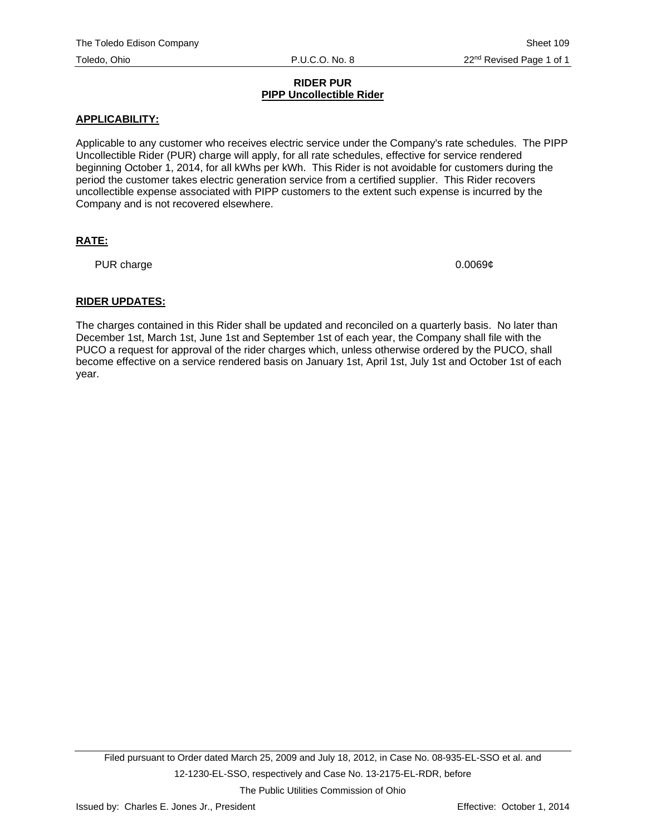#### **RIDER PUR PIPP Uncollectible Rider**

## **APPLICABILITY:**

Applicable to any customer who receives electric service under the Company's rate schedules. The PIPP Uncollectible Rider (PUR) charge will apply, for all rate schedules, effective for service rendered beginning October 1, 2014, for all kWhs per kWh. This Rider is not avoidable for customers during the period the customer takes electric generation service from a certified supplier. This Rider recovers uncollectible expense associated with PIPP customers to the extent such expense is incurred by the Company and is not recovered elsewhere.

## **RATE:**

PUR charge 0.0069¢

## **RIDER UPDATES:**

The charges contained in this Rider shall be updated and reconciled on a quarterly basis. No later than December 1st, March 1st, June 1st and September 1st of each year, the Company shall file with the PUCO a request for approval of the rider charges which, unless otherwise ordered by the PUCO, shall become effective on a service rendered basis on January 1st, April 1st, July 1st and October 1st of each year.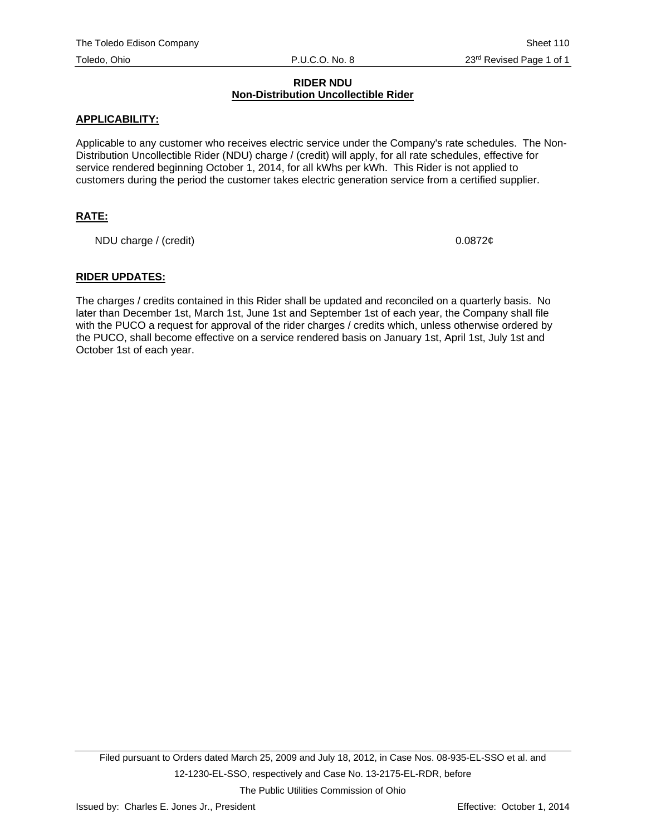#### **RIDER NDU Non-Distribution Uncollectible Rider**

### **APPLICABILITY:**

Applicable to any customer who receives electric service under the Company's rate schedules. The Non-Distribution Uncollectible Rider (NDU) charge / (credit) will apply, for all rate schedules, effective for service rendered beginning October 1, 2014, for all kWhs per kWh. This Rider is not applied to customers during the period the customer takes electric generation service from a certified supplier.

## **RATE:**

NDU charge / (credit) 0.0872¢

#### **RIDER UPDATES:**

The charges / credits contained in this Rider shall be updated and reconciled on a quarterly basis. No later than December 1st, March 1st, June 1st and September 1st of each year, the Company shall file with the PUCO a request for approval of the rider charges / credits which, unless otherwise ordered by the PUCO, shall become effective on a service rendered basis on January 1st, April 1st, July 1st and October 1st of each year.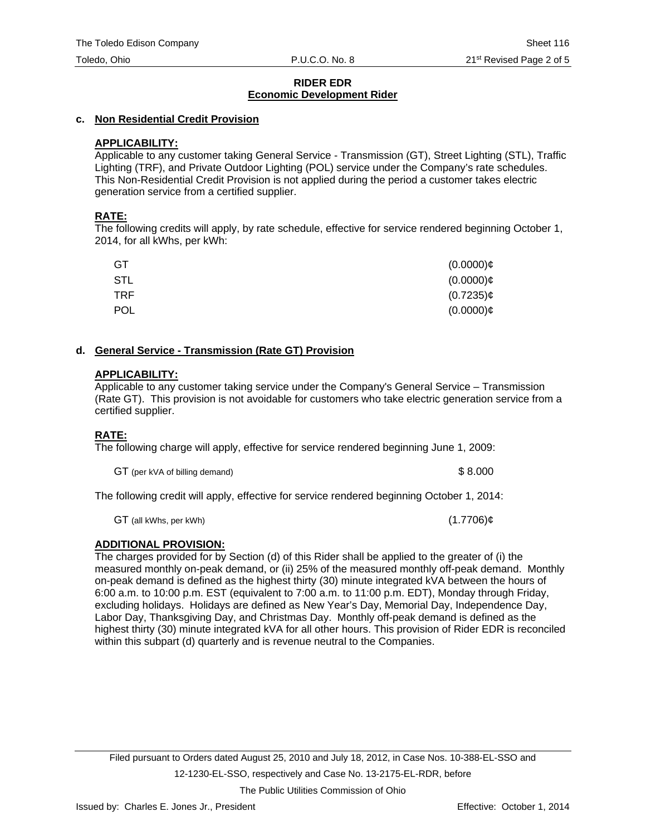## **c. Non Residential Credit Provision**

## **APPLICABILITY:**

Applicable to any customer taking General Service - Transmission (GT), Street Lighting (STL), Traffic Lighting (TRF), and Private Outdoor Lighting (POL) service under the Company's rate schedules. This Non-Residential Credit Provision is not applied during the period a customer takes electric generation service from a certified supplier.

## **RATE:**

The following credits will apply, by rate schedule, effective for service rendered beginning October 1, 2014, for all kWhs, per kWh:

| GT         | $(0.0000)$ ¢ |
|------------|--------------|
| STL        | $(0.0000)$ ¢ |
| TRF.       | $(0.7235)$ ¢ |
| <b>POL</b> | $(0.0000)$ ¢ |

## **d. General Service - Transmission (Rate GT) Provision**

## **APPLICABILITY:**

Applicable to any customer taking service under the Company's General Service – Transmission (Rate GT). This provision is not avoidable for customers who take electric generation service from a certified supplier.

## **RATE:**

The following charge will apply, effective for service rendered beginning June 1, 2009:

GT (per kVA of billing demand)  $$8.000$ 

The following credit will apply, effective for service rendered beginning October 1, 2014:

 $GT$  (all kWhs, per kWh) (1.7706) $\phi$ 

## **ADDITIONAL PROVISION:**

The charges provided for by Section (d) of this Rider shall be applied to the greater of (i) the measured monthly on-peak demand, or (ii) 25% of the measured monthly off-peak demand. Monthly on-peak demand is defined as the highest thirty (30) minute integrated kVA between the hours of 6:00 a.m. to 10:00 p.m. EST (equivalent to 7:00 a.m. to 11:00 p.m. EDT), Monday through Friday, excluding holidays. Holidays are defined as New Year's Day, Memorial Day, Independence Day, Labor Day, Thanksgiving Day, and Christmas Day. Monthly off-peak demand is defined as the highest thirty (30) minute integrated kVA for all other hours. This provision of Rider EDR is reconciled within this subpart (d) quarterly and is revenue neutral to the Companies.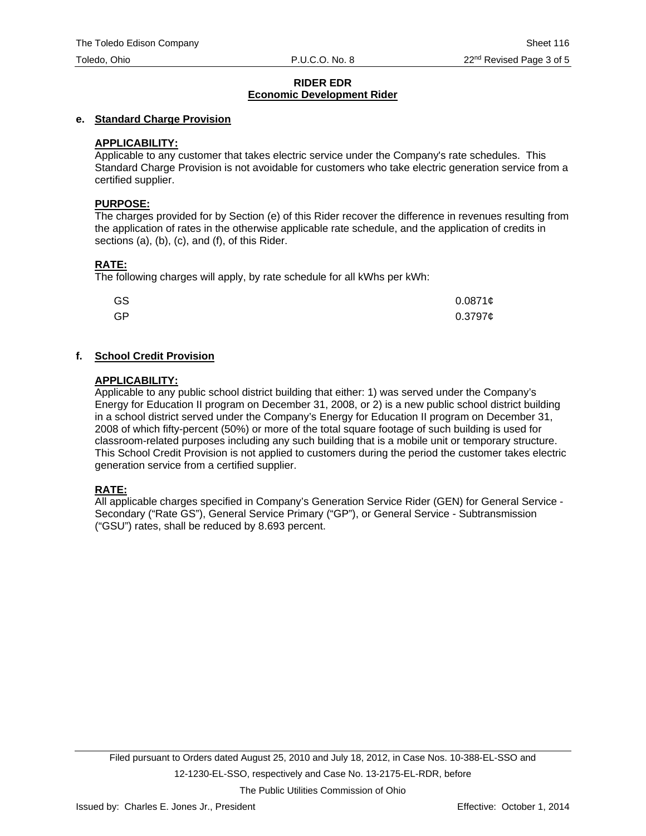### **e. Standard Charge Provision**

## **APPLICABILITY:**

Applicable to any customer that takes electric service under the Company's rate schedules. This Standard Charge Provision is not avoidable for customers who take electric generation service from a certified supplier.

#### **PURPOSE:**

The charges provided for by Section (e) of this Rider recover the difference in revenues resulting from the application of rates in the otherwise applicable rate schedule, and the application of credits in sections (a), (b), (c), and (f), of this Rider.

## **RATE:**

The following charges will apply, by rate schedule for all kWhs per kWh:

| GS | $0.0871$ ¢ |
|----|------------|
| GP | $0.3797$ ¢ |

## **f. School Credit Provision**

#### **APPLICABILITY:**

Applicable to any public school district building that either: 1) was served under the Company's Energy for Education II program on December 31, 2008, or 2) is a new public school district building in a school district served under the Company's Energy for Education II program on December 31, 2008 of which fifty-percent (50%) or more of the total square footage of such building is used for classroom-related purposes including any such building that is a mobile unit or temporary structure. This School Credit Provision is not applied to customers during the period the customer takes electric generation service from a certified supplier.

## **RATE:**

All applicable charges specified in Company's Generation Service Rider (GEN) for General Service - Secondary ("Rate GS"), General Service Primary ("GP"), or General Service - Subtransmission ("GSU") rates, shall be reduced by 8.693 percent.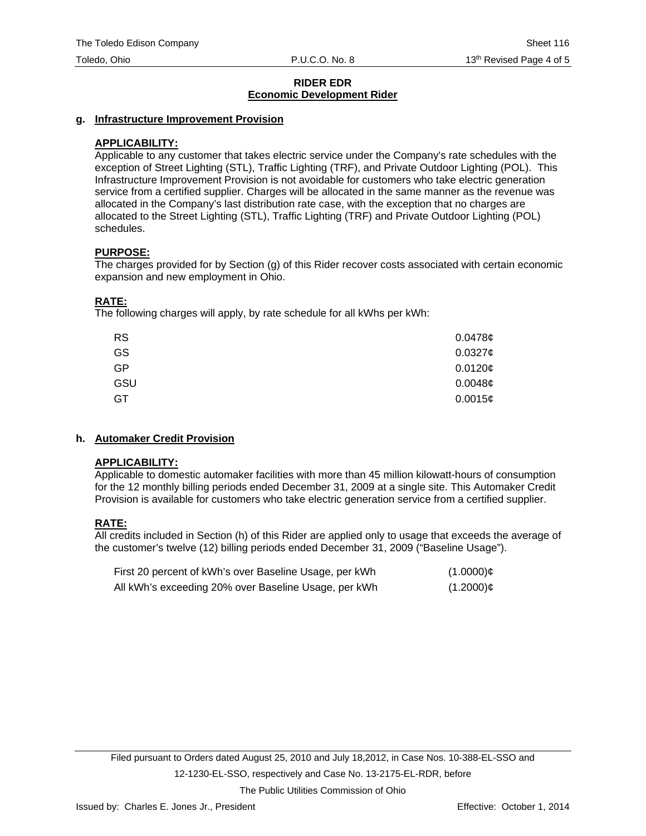### **g. Infrastructure Improvement Provision**

## **APPLICABILITY:**

Applicable to any customer that takes electric service under the Company's rate schedules with the exception of Street Lighting (STL), Traffic Lighting (TRF), and Private Outdoor Lighting (POL). This Infrastructure Improvement Provision is not avoidable for customers who take electric generation service from a certified supplier. Charges will be allocated in the same manner as the revenue was allocated in the Company's last distribution rate case, with the exception that no charges are allocated to the Street Lighting (STL), Traffic Lighting (TRF) and Private Outdoor Lighting (POL) schedules.

## **PURPOSE:**

The charges provided for by Section (g) of this Rider recover costs associated with certain economic expansion and new employment in Ohio.

## **RATE:**

The following charges will apply, by rate schedule for all kWhs per kWh:

| <b>RS</b> | 0.0478c             |
|-----------|---------------------|
| GS        | 0.03276             |
| <b>GP</b> | 0.0120¢             |
| GSU       | 0.0048 <sub>¢</sub> |
| GT        | 0.0015c             |

## **h. Automaker Credit Provision**

## **APPLICABILITY:**

Applicable to domestic automaker facilities with more than 45 million kilowatt-hours of consumption for the 12 monthly billing periods ended December 31, 2009 at a single site. This Automaker Credit Provision is available for customers who take electric generation service from a certified supplier.

## **RATE:**

All credits included in Section (h) of this Rider are applied only to usage that exceeds the average of the customer's twelve (12) billing periods ended December 31, 2009 ("Baseline Usage").

| First 20 percent of kWh's over Baseline Usage, per kWh | $(1.0000)$ ¢ |
|--------------------------------------------------------|--------------|
| All kWh's exceeding 20% over Baseline Usage, per kWh   | $(1.2000)$ ¢ |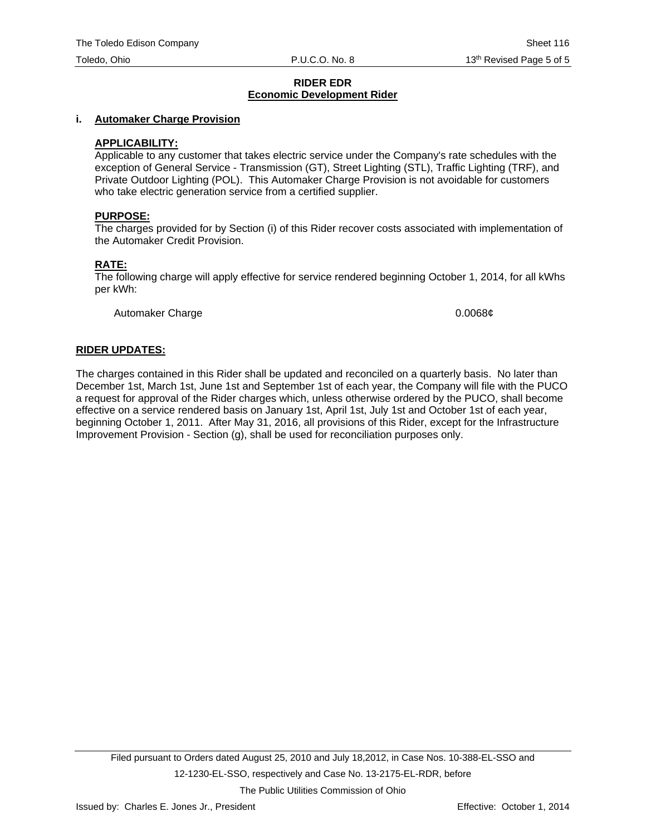#### **i. Automaker Charge Provision**

#### **APPLICABILITY:**

Applicable to any customer that takes electric service under the Company's rate schedules with the exception of General Service - Transmission (GT), Street Lighting (STL), Traffic Lighting (TRF), and Private Outdoor Lighting (POL). This Automaker Charge Provision is not avoidable for customers who take electric generation service from a certified supplier.

#### **PURPOSE:**

The charges provided for by Section (i) of this Rider recover costs associated with implementation of the Automaker Credit Provision.

#### **RATE:**

The following charge will apply effective for service rendered beginning October 1, 2014, for all kWhs per kWh:

Automaker Charge 0.0068¢

#### **RIDER UPDATES:**

The charges contained in this Rider shall be updated and reconciled on a quarterly basis. No later than December 1st, March 1st, June 1st and September 1st of each year, the Company will file with the PUCO a request for approval of the Rider charges which, unless otherwise ordered by the PUCO, shall become effective on a service rendered basis on January 1st, April 1st, July 1st and October 1st of each year, beginning October 1, 2011. After May 31, 2016, all provisions of this Rider, except for the Infrastructure Improvement Provision - Section (g), shall be used for reconciliation purposes only.